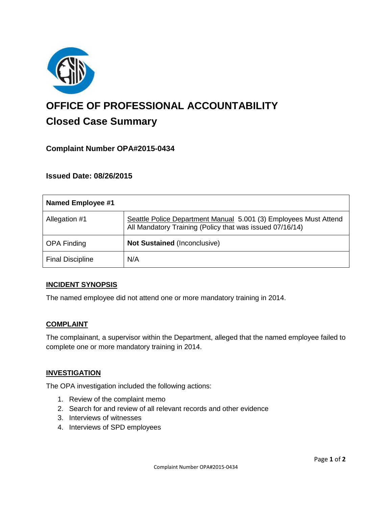

# **OFFICE OF PROFESSIONAL ACCOUNTABILITY Closed Case Summary**

# **Complaint Number OPA#2015-0434**

## **Issued Date: 08/26/2015**

| <b>Named Employee #1</b> |                                                                                                                              |
|--------------------------|------------------------------------------------------------------------------------------------------------------------------|
| Allegation #1            | Seattle Police Department Manual 5.001 (3) Employees Must Attend<br>All Mandatory Training (Policy that was issued 07/16/14) |
| <b>OPA Finding</b>       | <b>Not Sustained (Inconclusive)</b>                                                                                          |
| <b>Final Discipline</b>  | N/A                                                                                                                          |

## **INCIDENT SYNOPSIS**

The named employee did not attend one or more mandatory training in 2014.

## **COMPLAINT**

The complainant, a supervisor within the Department, alleged that the named employee failed to complete one or more mandatory training in 2014.

## **INVESTIGATION**

The OPA investigation included the following actions:

- 1. Review of the complaint memo
- 2. Search for and review of all relevant records and other evidence
- 3. Interviews of witnesses
- 4. Interviews of SPD employees